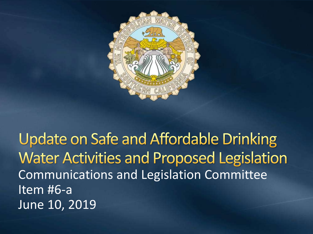

**Update on Safe and Affordable Drinking Water Activities and Proposed Legislation** Communications and Legislation Committee Item #6-a June 10, 2019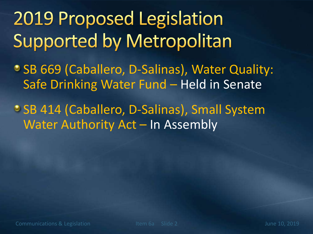**2019 Proposed Legislation Supported by Metropolitan** 

SB 669 (Caballero, D-Salinas), Water Quality: Safe Drinking Water Fund – Held in Senate

**CSB 414 (Caballero, D-Salinas), Small System** Water Authority Act – In Assembly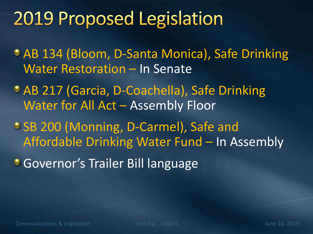# 2019 Proposed Legislation

AB 134 (Bloom, D-Santa Monica), Safe Drinking Water Restoration – In Senate

- AB 217 (Garcia, D-Coachella), Safe Drinking Water for All Act – Assembly Floor
- SB 200 (Monning, D-Carmel), Safe and Affordable Drinking Water Fund – In Assembly
- **Governor's Trailer Bill language**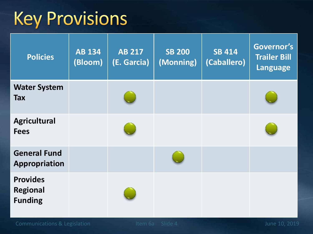# **Key Provisions**

| <b>Policies</b>                                      | <b>AB 134</b><br>(Bloom) | <b>AB 217</b><br>(E. Garcia) | <b>SB 200</b><br>(Monning) | <b>SB 414</b><br>(Caballero) | Governor's<br><b>Trailer Bill</b><br>Language |
|------------------------------------------------------|--------------------------|------------------------------|----------------------------|------------------------------|-----------------------------------------------|
| <b>Water System</b><br><b>Tax</b>                    |                          |                              |                            |                              |                                               |
| <b>Agricultural</b><br><b>Fees</b>                   |                          |                              |                            |                              |                                               |
| <b>General Fund</b><br><b>Appropriation</b>          |                          |                              |                            |                              |                                               |
| <b>Provides</b><br><b>Regional</b><br><b>Funding</b> |                          |                              |                            |                              |                                               |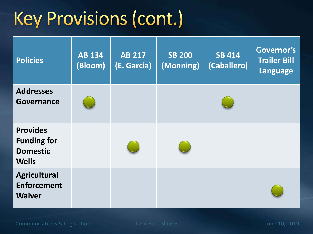# Key Provisions (cont.)

| <b>Policies</b>                                                          | <b>AB 134</b><br>(Bloom) | <b>AB 217</b><br>(E. Garcia) | <b>SB 200</b><br>(Monning) | <b>SB 414</b><br>(Caballero) | Governor's<br><b>Trailer Bill</b><br>Language |
|--------------------------------------------------------------------------|--------------------------|------------------------------|----------------------------|------------------------------|-----------------------------------------------|
| <b>Addresses</b><br><b>Governance</b>                                    |                          |                              |                            |                              |                                               |
| <b>Provides</b><br><b>Funding for</b><br><b>Domestic</b><br><b>Wells</b> |                          |                              |                            |                              |                                               |
| <b>Agricultural</b><br><b>Enforcement</b><br><b>Waiver</b>               |                          |                              |                            |                              |                                               |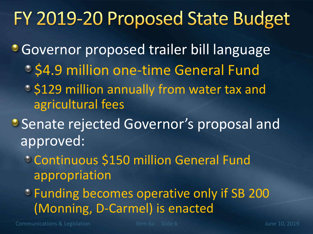### FY 2019-20 Proposed State Budget

**Governor proposed trailer bill language** 

- **S4.9 million one-time General Fund**
- $\circ$  \$129 million annually from water tax and agricultural fees
- **Senate rejected Governor's proposal and** approved:
	- Continuous \$150 million General Fund appropriation
	- Funding becomes operative only if SB 200 (Monning, D-Carmel) is enacted

Communications & Legislation The Telecommunication Communications & Legislation Item 6a Slide 6 June 10, 2019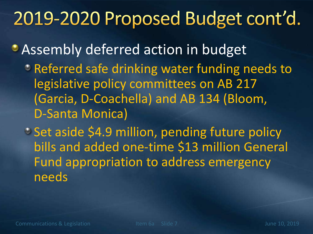### 2019-2020 Proposed Budget cont'd.

**• Assembly deferred action in budget PREFERED 2.5 THE STARE EXAGGE STARES EXAM** PREFERENCE TO REFERENCE THE PREFERENCE **REPAIREMENT CONTACT STARES IN A PREFERENCE TO REPAIR FIGURE 10 AM** PREFERENCE TO REPAIR FIGURE 100 AM PREFERENCE TO REPAIR FIGURE 100 AM P legislative policy committees on AB 217 (Garcia, D-Coachella) and AB 134 (Bloom, D-Santa Monica)

**Set aside \$4.9 million, pending future policy** bills and added one-time \$13 million General Fund appropriation to address emergency needs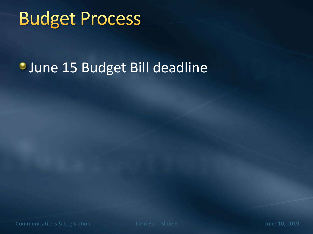# **Budget Process**

#### **June 15 Budget Bill deadline**